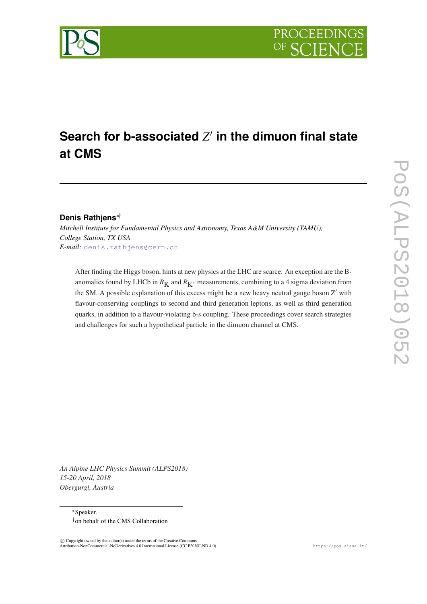



## **Denis Rathjens**∗†

*Mitchell Institute for Fundamental Physics and Astronomy, Texas A&M University (TAMU), College Station, TX USA E-mail:* [denis.rathjens@cern.ch](mailto:denis.rathjens@cern.ch)

After finding the Higgs boson, hints at new physics at the LHC are scarce. An exception are the Banomalies found by LHCb in  $R_K$  and  $R_{K^*}$  measurements, combining to a 4 sigma deviation from the SM. A possible explanation of this excess might be a new heavy neutral gauge boson  $Z'$  with flavour-conserving couplings to second and third generation leptons, as well as third generation quarks, in addition to a flavour-violating b-s coupling. These proceedings cover search strategies and challenges for such a hypothetical particle in the dimuon channel at CMS.

*An Alpine LHC Physics Summit (ALPS2018) 15-20 April, 2018 Obergurgl, Austria*

> <sup>∗</sup>Speaker. †on behalf of the CMS Collaboration

 $\overline{c}$  Copyright owned by the author(s) under the terms of the Creative Common Attribution-NonCommercial-NoDerivatives 4.0 International License (CC BY-NC-ND 4.0). https://pos.sissa.it/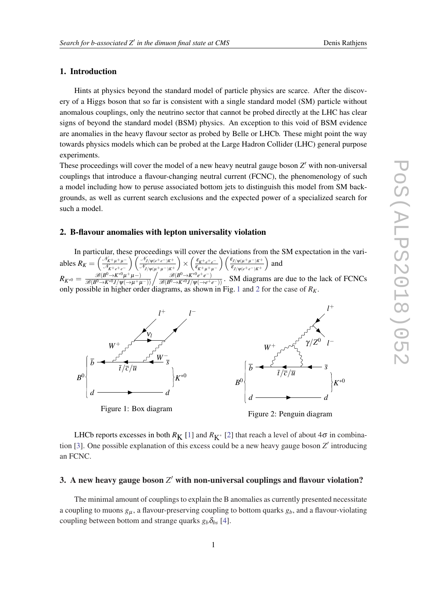# 1. Introduction

Hints at physics beyond the standard model of particle physics are scarce. After the discovery of a Higgs boson that so far is consistent with a single standard model (SM) particle without anomalous couplings, only the neutrino sector that cannot be probed directly at the LHC has clear signs of beyond the standard model (BSM) physics. An exception to this void of BSM evidence are anomalies in the heavy flavour sector as probed by Belle or LHCb. These might point the way towards physics models which can be probed at the Large Hadron Collider (LHC) general purpose experiments.

These proceedings will cover the model of a new heavy neutral gauge boson Z' with non-universal couplings that introduce a flavour-changing neutral current (FCNC), the phenomenology of such a model including how to peruse associated bottom jets to distinguish this model from SM backgrounds, as well as current search exclusions and the expected power of a specialized search for such a model.

# 2. B-flavour anomalies with lepton universality violation

In particular, these proceedings will cover the deviations from the SM expectation in the variables  $R_K = \left(\frac{\mathcal{N}_{K^+\mu^+\mu^-}}{\mathcal{N}_{K^+\mu^+}}\right)$ N*K*+*e*+*e*<sup>−</sup> N*J*/ψ(*e*+*e*−)*K*<sup>+</sup> N*J*/ψ(µ+µ−)*K*<sup>+</sup>  $\left( \frac{\varepsilon_{K^+e^+e^-}}{\varepsilon} \right)$  $\varepsilon_{K^+\mu^+\mu^-}$  $\left( \frac{\varepsilon_{J/\psi(\mu^+\mu^-)K^+}}{2} \right)$  $\varepsilon$ <sub>*J*/ $\psi$ ( $e$ + $e$ <sup>-</sup>)*K*<sup>+</sup></sub> ) and  $R_{K^{*0}} = \frac{\mathcal{B}(B^0 \to K^{*0}\mu^+\mu^-)}{\mathcal{B}(B^0 \to K^{*0}J/\psi(\to \mu^+\mu^-))} \bigg/ \frac{\mathcal{B}(B^0 \to K^{*0}e^+e^-)}{\mathcal{B}(B^0 \to K^{*0}J/\psi(\to e^+e^-))}$ . SM diagrams are due to the lack of FCNCs  $\mathscr{B}(B^0\!\!\rightarrow\! K^{*0}\mu$  $\mathscr{B}(B^0\rightarrow K^{*0}e^+e^$ only possible in higher order diagrams, as shown in Fig. 1 and 2 for the case of *RK*.



LHCb reports excesses in both  $R_K$  [\[1\]](#page-3-0) and  $R_{K^*}$  [[2](#page-3-0)] that reach a level of about  $4\sigma$  in combina-tion [[3](#page-3-0)]. One possible explanation of this excess could be a new heavy gauge boson *Z'* introducing an FCNC.

# 3. A new heavy gauge boson  $Z'$  with non-universal couplings and flavour violation?

The minimal amount of couplings to explain the B anomalies as currently presented necessitate a coupling to muons *g*<sup>µ</sup> , a flavour-preserving coupling to bottom quarks *gb*, and a flavour-violating coupling between bottom and strange quarks  $g_b \delta_{bs}$  [[4](#page-4-0)].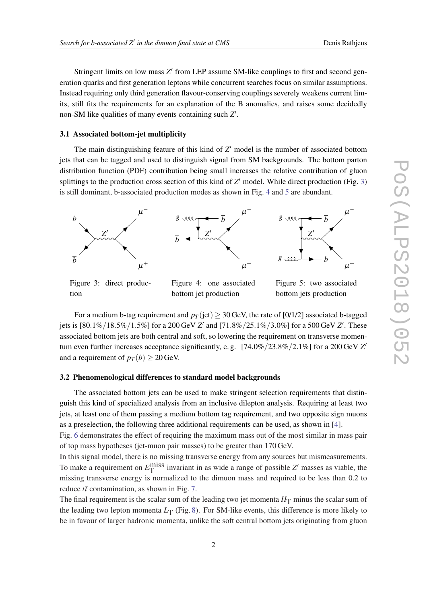Stringent limits on low mass Z' from LEP assume SM-like couplings to first and second generation quarks and first generation leptons while concurrent searches focus on similar assumptions. Instead requiring only third generation flavour-conserving couplings severely weakens current limits, still fits the requirements for an explanation of the B anomalies, and raises some decidedly non-SM like qualities of many events containing such Z'.

#### 3.1 Associated bottom-jet multiplicity

The main distinguishing feature of this kind of  $Z'$  model is the number of associated bottom jets that can be tagged and used to distinguish signal from SM backgrounds. The bottom parton distribution function (PDF) contribution being small increases the relative contribution of gluon splittings to the production cross section of this kind of Z' model. While direct production (Fig. 3) is still dominant, b-associated production modes as shown in Fig. 4 and 5 are abundant.



Figure 3: direct production

Figure 4: one associated bottom jet production

Figure 5: two associated bottom jets production

For a medium b-tag requirement and  $p<sub>T</sub>$  (jet)  $\geq$  30 GeV, the rate of [0/1/2] associated b-tagged jets is  $[80.1\%/18.5\%/1.5\%]$  for a 200 GeV *Z'* and  $[71.8\%/25.1\%/3.0\%]$  for a 500 GeV *Z'*. These associated bottom jets are both central and soft, so lowering the requirement on transverse momentum even further increases acceptance significantly, e.g. [74.0%/23.8%/2.1%] for a 200 GeV *Z*<sup>1</sup> and a requirement of  $p_T(b) \ge 20$  GeV.

## 3.2 Phenomenological differences to standard model backgrounds

The associated bottom jets can be used to make stringent selection requirements that distinguish this kind of specialized analysis from an inclusive dilepton analysis. Requiring at least two jets, at least one of them passing a medium bottom tag requirement, and two opposite sign muons as a preselection, the following three additional requirements can be used, as shown in [\[4\]](#page-4-0).

Fig. [6](#page-3-0) demonstrates the effect of requiring the maximum mass out of the most similar in mass pair of top mass hypotheses (jet-muon pair masses) to be greater than 170 GeV.

In this signal model, there is no missing transverse energy from any sources but mismeasurements. To make a requirement on  $E_{\text{T}}^{\text{miss}}$  invariant in as wide a range of possible  $Z'$  masses as viable, the missing transverse energy is normalized to the dimuon mass and required to be less than 0.2 to reduce  $t\bar{t}$  contamination, as shown in Fig. [7](#page-3-0).

The final requirement is the scalar sum of the leading two jet momenta  $H<sub>T</sub>$  minus the scalar sum of the leading two lepton momenta  $L_T$  (Fig. [8\)](#page-3-0). For SM-like events, this difference is more likely to be in favour of larger hadronic momenta, unlike the soft central bottom jets originating from gluon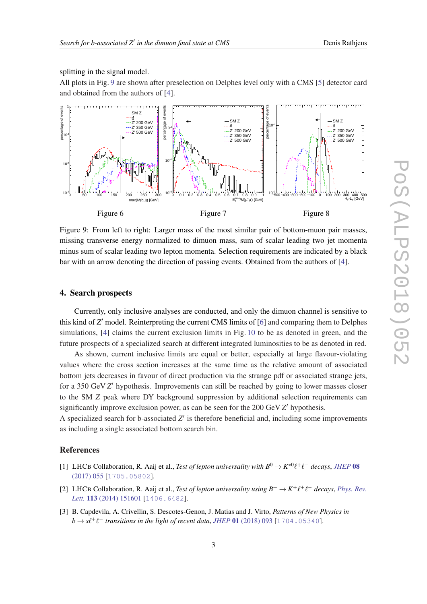<span id="page-3-0"></span>splitting in the signal model.

All plots in Fig. 9 are shown after preselection on Delphes level only with a CMS [[5](#page-4-0)] detector card and obtained from the authors of [\[4\]](#page-4-0).



Figure 9: From left to right: Larger mass of the most similar pair of bottom-muon pair masses, missing transverse energy normalized to dimuon mass, sum of scalar leading two jet momenta minus sum of scalar leading two lepton momenta. Selection requirements are indicated by a black bar with an arrow denoting the direction of passing events. Obtained from the authors of [\[4\]](#page-4-0).

## 4. Search prospects

Currently, only inclusive analyses are conducted, and only the dimuon channel is sensitive to this kind of *Z'* model. Reinterpreting the current CMS limits of [\[6\]](#page-4-0) and comparing them to Delphes simulations, [[4](#page-4-0)] claims the current exclusion limits in Fig. [10](#page-4-0) to be as denoted in green, and the future prospects of a specialized search at different integrated luminosities to be as denoted in red.

As shown, current inclusive limits are equal or better, especially at large flavour-violating values where the cross section increases at the same time as the relative amount of associated bottom jets decreases in favour of direct production via the strange pdf or associated strange jets, for a 350 GeV Z' hypothesis. Improvements can still be reached by going to lower masses closer to the SM *Z* peak where DY background suppression by additional selection requirements can significantly improve exclusion power, as can be seen for the 200 GeV Z' hypothesis.

A specialized search for b-associated  $Z'$  is therefore beneficial and, including some improvements as including a single associated bottom search bin.

## References

- [1] LHCB Collaboration, R. Aaij et al., *Test of lepton universality with*  $B^0 \to K^{*0} \ell^+ \ell^-$  decays, *[JHEP](https://doi.org/10.1007/JHEP08(2017)055)* 08 [\(2017\) 055](https://doi.org/10.1007/JHEP08(2017)055) [[1705.05802](https://arxiv.org/abs/1705.05802)].
- [2] LHCB Collaboration, R. Aaij et al., *Test of lepton universality using*  $B^+ \to K^+ \ell^+ \ell^-$  decays, *[Phys. Rev.](https://doi.org/10.1103/PhysRevLett.113.151601)* Lett. **113** [\(2014\) 151601](https://doi.org/10.1103/PhysRevLett.113.151601) [[1406.6482](https://arxiv.org/abs/1406.6482)].
- [3] B. Capdevila, A. Crivellin, S. Descotes-Genon, J. Matias and J. Virto, *Patterns of New Physics in*  $b \rightarrow s\ell^+\ell^-$  transitions in the light of recent data, *JHEP* 01 [\(2018\) 093](https://doi.org/10.1007/JHEP01(2018)093) [[1704.05340](https://arxiv.org/abs/1704.05340)].